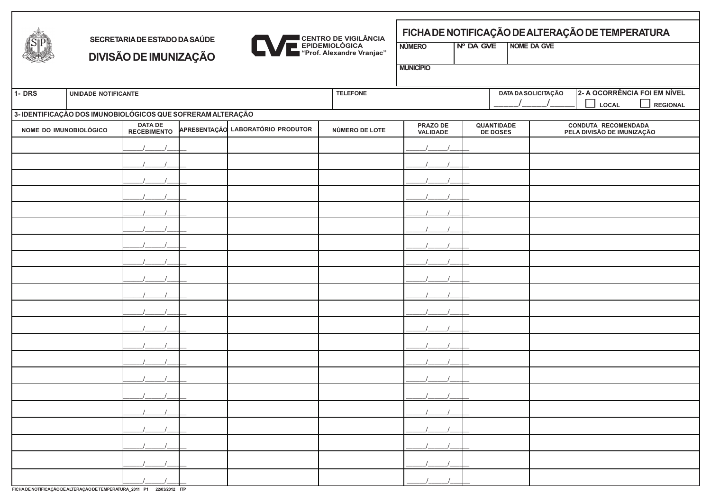

## **SECRETARIADEESTADODASAÚDE DIVISÃODEIMUNIZAÇÃO**



## **FICHADENOTIFICAÇÃODEALTERAÇÃODETEMPERATURA**

**NÚMERO Nº DA GVE NOME DA GVE**

**MUNICÍPIO**

| $1 - DRS$                                                                             | UNIDADE NOTIFICANTE                                         |  |                |                                                                                                            | <b>TELEFONE</b> |  |  | 2- A OCORRÊNCIA FOI EM NÍVEL<br><b>DATA DA SOLICITAÇÃO</b> |                    |  |
|---------------------------------------------------------------------------------------|-------------------------------------------------------------|--|----------------|------------------------------------------------------------------------------------------------------------|-----------------|--|--|------------------------------------------------------------|--------------------|--|
|                                                                                       |                                                             |  |                |                                                                                                            |                 |  |  | $\Box$<br>LOCAL                                            | $\Box$<br>REGIONAL |  |
|                                                                                       | 3- IDENTIFICAÇÃO DOS IMUNOBIOLÓGICOS QUE SOFRERAM ALTERAÇÃO |  |                |                                                                                                            |                 |  |  |                                                            |                    |  |
| DATA DE<br>RECEBIMENTO<br>APRESENTAÇÃO LABORATÓRIO PRODUTOR<br>NOME DO IMUNOBIOLÓGICO |                                                             |  | NÚMERO DE LOTE | PRAZO DE<br>VALIDADE<br><b>QUANTIDADE</b><br>DE DOSES<br>CONDUTA RECOMENDADA<br>PELA DIVISÃO DE IMUNIZAÇÃO |                 |  |  |                                                            |                    |  |
|                                                                                       |                                                             |  |                |                                                                                                            |                 |  |  |                                                            |                    |  |
|                                                                                       |                                                             |  |                |                                                                                                            |                 |  |  |                                                            |                    |  |
|                                                                                       |                                                             |  |                |                                                                                                            |                 |  |  |                                                            |                    |  |
|                                                                                       |                                                             |  |                |                                                                                                            |                 |  |  |                                                            |                    |  |
|                                                                                       |                                                             |  |                |                                                                                                            |                 |  |  |                                                            |                    |  |
|                                                                                       |                                                             |  |                |                                                                                                            |                 |  |  |                                                            |                    |  |
|                                                                                       |                                                             |  |                |                                                                                                            |                 |  |  |                                                            |                    |  |
|                                                                                       |                                                             |  |                |                                                                                                            |                 |  |  |                                                            |                    |  |
|                                                                                       |                                                             |  |                |                                                                                                            |                 |  |  |                                                            |                    |  |
|                                                                                       |                                                             |  |                |                                                                                                            |                 |  |  |                                                            |                    |  |
|                                                                                       |                                                             |  |                |                                                                                                            |                 |  |  |                                                            |                    |  |
|                                                                                       |                                                             |  |                |                                                                                                            |                 |  |  |                                                            |                    |  |
|                                                                                       |                                                             |  |                |                                                                                                            |                 |  |  |                                                            |                    |  |
|                                                                                       |                                                             |  |                |                                                                                                            |                 |  |  |                                                            |                    |  |
|                                                                                       |                                                             |  |                |                                                                                                            |                 |  |  |                                                            |                    |  |
|                                                                                       |                                                             |  |                |                                                                                                            |                 |  |  |                                                            |                    |  |
|                                                                                       |                                                             |  |                |                                                                                                            |                 |  |  |                                                            |                    |  |
|                                                                                       |                                                             |  |                |                                                                                                            |                 |  |  |                                                            |                    |  |
|                                                                                       |                                                             |  |                |                                                                                                            |                 |  |  |                                                            |                    |  |
|                                                                                       |                                                             |  |                |                                                                                                            |                 |  |  |                                                            |                    |  |
|                                                                                       |                                                             |  |                |                                                                                                            |                 |  |  |                                                            |                    |  |